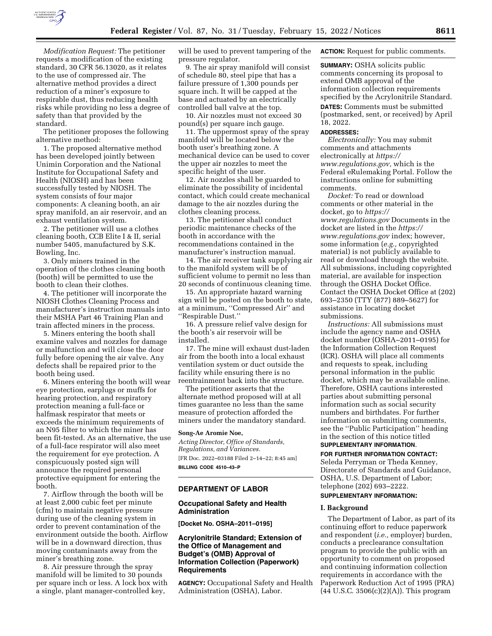

*Modification Request:* The petitioner requests a modification of the existing standard, 30 CFR 56.13020, as it relates to the use of compressed air. The alternative method provides a direct reduction of a miner's exposure to respirable dust, thus reducing health risks while providing no less a degree of safety than that provided by the standard.

The petitioner proposes the following alternative method:

1. The proposed alternative method has been developed jointly between Unimin Corporation and the National Institute for Occupational Safety and Health (NIOSH) and has been successfully tested by NIOSH. The system consists of four major components: A cleaning booth, an air spray manifold, an air reservoir, and an exhaust ventilation system.

2. The petitioner will use a clothes cleaning booth, CCB Elite I & II, serial number 5405, manufactured by S.K. Bowling, Inc.

3. Only miners trained in the operation of the clothes cleaning booth (booth) will be permitted to use the booth to clean their clothes.

4. The petitioner will incorporate the NIOSH Clothes Cleaning Process and manufacturer's instruction manuals into their MSHA Part 46 Training Plan and train affected miners in the process.

5. Miners entering the booth shall examine valves and nozzles for damage or malfunction and will close the door fully before opening the air valve. Any defects shall be repaired prior to the booth being used.

6. Miners entering the booth will wear eye protection, earplugs or muffs for hearing protection, and respiratory protection meaning a full-face or halfmask respirator that meets or exceeds the minimum requirements of an N95 filter to which the miner has been fit-tested. As an alternative, the use of a full-face respirator will also meet the requirement for eye protection. A conspicuously posted sign will announce the required personal protective equipment for entering the booth.

7. Airflow through the booth will be at least 2,000 cubic feet per minute (cfm) to maintain negative pressure during use of the cleaning system in order to prevent contamination of the environment outside the booth. Airflow will be in a downward direction, thus moving contaminants away from the miner's breathing zone.

8. Air pressure through the spray manifold will be limited to 30 pounds per square inch or less. A lock box with a single, plant manager-controlled key,

will be used to prevent tampering of the pressure regulator.

9. The air spray manifold will consist of schedule 80, steel pipe that has a failure pressure of 1,300 pounds per square inch. It will be capped at the base and actuated by an electrically controlled ball valve at the top.

10. Air nozzles must not exceed 30 pound(s) per square inch gauge.

11. The uppermost spray of the spray manifold will be located below the booth user's breathing zone. A mechanical device can be used to cover the upper air nozzles to meet the specific height of the user.

12. Air nozzles shall be guarded to eliminate the possibility of incidental contact, which could create mechanical damage to the air nozzles during the clothes cleaning process.

13. The petitioner shall conduct periodic maintenance checks of the booth in accordance with the recommendations contained in the manufacturer's instruction manual.

14. The air receiver tank supplying air to the manifold system will be of sufficient volume to permit no less than 20 seconds of continuous cleaning time.

15. An appropriate hazard warning sign will be posted on the booth to state, at a minimum, ''Compressed Air'' and ''Respirable Dust.''

16. A pressure relief valve design for the booth's air reservoir will be installed.

17. The mine will exhaust dust-laden air from the booth into a local exhaust ventilation system or duct outside the facility while ensuring there is no reentrainment back into the structure.

The petitioner asserts that the alternate method proposed will at all times guarantee no less than the same measure of protection afforded the miners under the mandatory standard.

#### **Song-Ae Aromie Noe,**

*Acting Director, Office of Standards, Regulations, and Variances.*  [FR Doc. 2022–03188 Filed 2–14–22; 8:45 am] **BILLING CODE 4510–43–P** 

#### **DEPARTMENT OF LABOR**

# **Occupational Safety and Health Administration**

**[Docket No. OSHA–2011–0195]** 

# **Acrylonitrile Standard; Extension of the Office of Management and Budget's (OMB) Approval of Information Collection (Paperwork) Requirements**

**AGENCY:** Occupational Safety and Health Administration (OSHA), Labor.

**ACTION:** Request for public comments.

**SUMMARY: OSHA solicits public** comments concerning its proposal to extend OMB approval of the information collection requirements specified by the Acrylonitrile Standard. **DATES:** Comments must be submitted (postmarked, sent, or received) by April 18, 2022.

#### **ADDRESSES:**

*Electronically:* You may submit comments and attachments electronically at *[https://](https://www.regulations.gov) [www.regulations.gov,](https://www.regulations.gov)* which is the Federal eRulemaking Portal. Follow the instructions online for submitting comments.

*Docket:* To read or download comments or other material in the docket, go to *[https://](https://www.regulations.gov) [www.regulations.gov](https://www.regulations.gov)* Documents in the docket are listed in the *[https://](https://www.regulations.gov) [www.regulations.gov](https://www.regulations.gov)* index; however, some information (*e.g.,* copyrighted material) is not publicly available to read or download through the website. All submissions, including copyrighted material, are available for inspection through the OSHA Docket Office. Contact the OSHA Docket Office at (202) 693–2350 (TTY (877) 889–5627) for assistance in locating docket submissions.

*Instructions:* All submissions must include the agency name and OSHA docket number (OSHA–2011–0195) for the Information Collection Request (ICR). OSHA will place all comments and requests to speak, including personal information in the public docket, which may be available online. Therefore, OSHA cautions interested parties about submitting personal information such as social security numbers and birthdates. For further information on submitting comments, see the ''Public Participation'' heading in the section of this notice titled **SUPPLEMENTARY INFORMATION**.

**FOR FURTHER INFORMATION CONTACT:**  Seleda Perryman or Theda Kenney, Directorate of Standards and Guidance, OSHA, U.S. Department of Labor; telephone (202) 693–2222.

# **SUPPLEMENTARY INFORMATION:**

#### **I. Background**

The Department of Labor, as part of its continuing effort to reduce paperwork and respondent (*i.e.,* employer) burden, conducts a preclearance consultation program to provide the public with an opportunity to comment on proposed and continuing information collection requirements in accordance with the Paperwork Reduction Act of 1995 (PRA)  $(44 \text{ U.S.C. } 3506(c)(2)(A))$ . This program